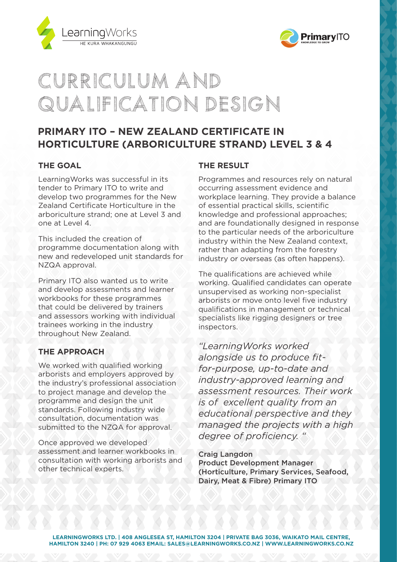



# Curriculum and Qualification Design

# **PRIMARY ITO – NEW ZEALAND CERTIFICATE IN HORTICULTURE (ARBORICULTURE STRAND) LEVEL 3 & 4**

## **THE GOAL**

LearningWorks was successful in its tender to Primary ITO to write and develop two programmes for the New Zealand Certificate Horticulture in the arboriculture strand; one at Level 3 and one at Level 4.

This included the creation of programme documentation along with new and redeveloped unit standards for NZQA approval.

Primary ITO also wanted us to write and develop assessments and learner workbooks for these programmes that could be delivered by trainers and assessors working with individual trainees working in the industry throughout New Zealand.

## **THE APPROACH**

We worked with qualified working arborists and employers approved by the industry's professional association to project manage and develop the programme and design the unit standards. Following industry wide consultation, documentation was submitted to the NZQA for approval.

Once approved we developed assessment and learner workbooks in consultation with working arborists and other technical experts.

### **THE RESULT**

Programmes and resources rely on natural occurring assessment evidence and workplace learning. They provide a balance of essential practical skills, scientific knowledge and professional approaches; and are foundationally designed in response to the particular needs of the arboriculture industry within the New Zealand context, rather than adapting from the forestry industry or overseas (as often happens).

The qualifications are achieved while working. Qualified candidates can operate unsupervised as working non-specialist arborists or move onto level five industry qualifications in management or technical specialists like rigging designers or tree inspectors.

*"LearningWorks worked alongside us to produce fitfor-purpose, up-to-date and industry-approved learning and assessment resources. Their work is of excellent quality from an educational perspective and they managed the projects with a high degree of proficiency. "*

#### Craig Langdon

Product Development Manager (Horticulture, Primary Services, Seafood, Dairy, Meat & Fibre) Primary ITO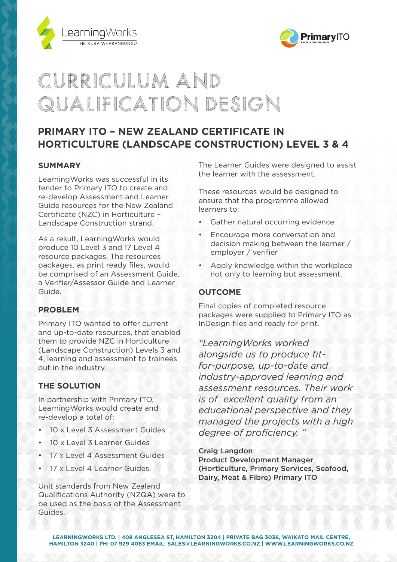



# Curriculum and Qualification Design

# **PRIMARY ITO – NEW ZEALAND CERTIFICATE IN HORTICULTURE (LANDSCAPE CONSTRUCTION) LEVEL 3 & 4**

### **SUMMARY**

LearningWorks was successful in its tender to Primary ITO to create and re-develop Assessment and Learner Guide resources for the New Zealand Certificate (NZC) in Horticulture – Landscape Construction strand.

As a result, LearningWorks would produce 10 Level 3 and 17 Level 4 resource packages. The resources packages, as print ready files, would be comprised of an Assessment Guide, a Verifier/Assessor Guide and Learner Guide.

#### **PROBLEM**

Primary ITO wanted to offer current and up-to-date resources, that enabled them to provide NZC in Horticulture (Landscape Construction) Levels 3 and 4, learning and assessment to trainees out in the industry.

#### **THE SOLUTION**

In partnership with Primary ITO, LearningWorks would create and re-develop a total of:

- 10 x Level 3 Assessment Guides
- 10 x Level 3 Learner Guides
- 17 x Level 4 Assessment Guides
- 17 x Level 4 Learner Guides.

Unit standards from New Zealand Qualifications Authority (NZQA) were to be used as the basis of the Assessment Guides.

The Learner Guides were designed to assist the learner with the assessment.

These resources would be designed to ensure that the programme allowed learners to:

- Gather natural occurring evidence
- Encourage more conversation and decision making between the learner / employer / verifier
- Apply knowledge within the workplace not only to learning but assessment.

#### **OUTCOME**

Final copies of completed resource packages were supplied to Primary ITO as InDesign files and ready for print.

*"LearningWorks worked alongside us to produce fitfor-purpose, up-to-date and industry-approved learning and assessment resources. Their work is of excellent quality from an educational perspective and they managed the projects with a high degree of proficiency. "*

Craig Langdon

Product Development Manager (Horticulture, Primary Services, Seafood, Dairy, Meat & Fibre) Primary ITO

**LEARNINGWORKS LTD. | 408 ANGLESEA ST, HAMILTON 3204 | PRIVATE BAG 3036, WAIKATO MAIL CENTRE, HAMILTON 3240 | PH: 07 929 4063 EMAIL: SALES@LEARNINGWORKS.CO.NZ | WWW.LEARNINGWORKS.CO.NZ**